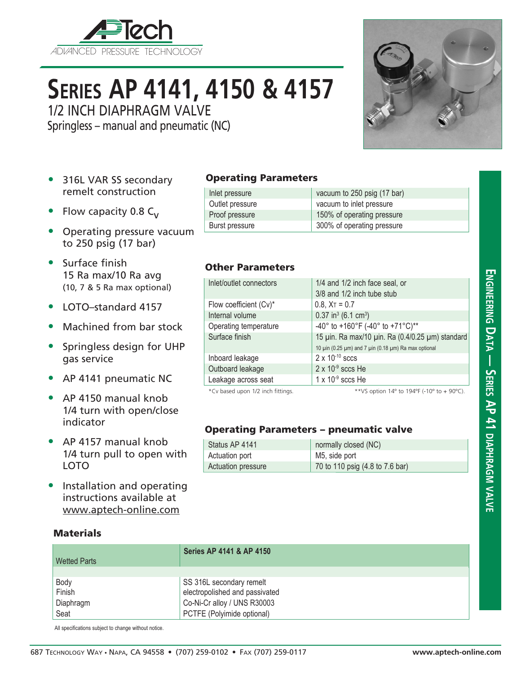

# **Series AP 4141, 4150 & 4157**

1/2 INCH DIAPHRAGM VALVE

Springless – manual and pneumatic (NC)



- 316L VAR SS secondary remelt construction
- Flow capacity 0.8  $C_{v}$
- Operating pressure vacuum to 250 psig (17 bar)
- Surface finish 15 Ra max/10 Ra avg (10, 7 & 5 Ra max optional)
- LOTO–standard 4157
- Machined from bar stock
- Springless design for UHP gas service
- AP 4141 pneumatic NC
- AP 4150 manual knob 1/4 turn with open/close indicator
- AP 4157 manual knob 1/4 turn pull to open with LOTO
- Installation and operating instructions available at www.aptech-online.com

### **Materials**

### **Series AP 4141 & AP 4150** Wetted Parts Body Body SS 316L secondary remelt Finish electropolished and passivated Diaphragm Co-Ni-Cr alloy / UNS R30003 Seat PCTFE (Polyimide optional)

All specifications subject to change without notice.

Operating Parameters

| Inlet pressure  | vacuum to 250 psig (17 bar) |
|-----------------|-----------------------------|
| Outlet pressure | vacuum to inlet pressure    |
| Proof pressure  | 150% of operating pressure  |
| Burst pressure  | 300% of operating pressure  |

### Other Parameters

| Inlet/outlet connectors           | 1/4 and 1/2 inch face seal, or                       |
|-----------------------------------|------------------------------------------------------|
|                                   | 3/8 and 1/2 inch tube stub                           |
| Flow coefficient (Cv)*            | $0.8$ , $X_T = 0.7$                                  |
| Internal volume                   | $0.37$ in <sup>3</sup> (6.1 cm <sup>3</sup> )        |
| Operating temperature             | -40° to +160°F (-40° to +71°C)**                     |
| Surface finish                    | 15 µin. Ra max/10 µin. Ra (0.4/0.25 µm) standard     |
|                                   | 10 μin (0.25 μm) and 7 μin (0.18 μm) Ra max optional |
| Inboard leakage                   | $2 \times 10^{-10}$ sccs                             |
| Outboard leakage                  | $2 \times 10^{-9}$ sccs He                           |
| Leakage across seat               | $1 \times 10^{-9}$ sccs He                           |
| *Cv based upon 1/2 inch fittings. | ** VS option 14° to 194°F (-10° to + 90°C).          |

### Operating Parameters – pneumatic valve

| Status AP 4141     | normally closed (NC)            |
|--------------------|---------------------------------|
| Actuation port     | M5, side port                   |
| Actuation pressure | 70 to 110 psig (4.8 to 7.6 bar) |